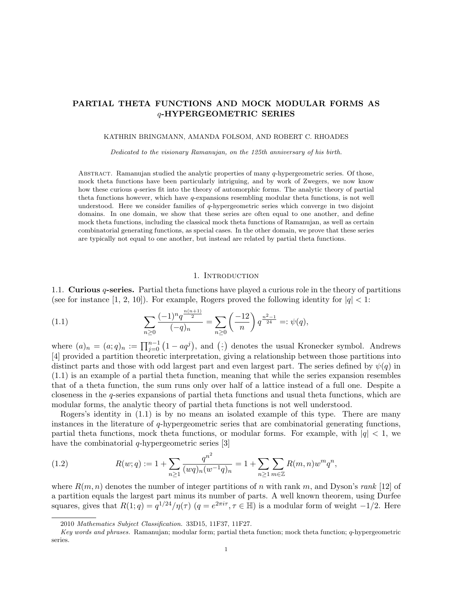# PARTIAL THETA FUNCTIONS AND MOCK MODULAR FORMS AS q-HYPERGEOMETRIC SERIES

#### KATHRIN BRINGMANN, AMANDA FOLSOM, AND ROBERT C. RHOADES

Dedicated to the visionary Ramanujan, on the 125th anniversary of his birth.

ABSTRACT. Ramanujan studied the analytic properties of many  $q$ -hypergeometric series. Of those, mock theta functions have been particularly intriguing, and by work of Zwegers, we now know how these curious q-series fit into the theory of automorphic forms. The analytic theory of partial theta functions however, which have q-expansions resembling modular theta functions, is not well understood. Here we consider families of q-hypergeometric series which converge in two disjoint domains. In one domain, we show that these series are often equal to one another, and define mock theta functions, including the classical mock theta functions of Ramanujan, as well as certain combinatorial generating functions, as special cases. In the other domain, we prove that these series are typically not equal to one another, but instead are related by partial theta functions.

### 1. INTRODUCTION

1.1. Curious  $q$ -series. Partial theta functions have played a curious role in the theory of partitions (see for instance [1, 2, 10]). For example, Rogers proved the following identity for  $|q| < 1$ :

(1.1) 
$$
\sum_{n\geq 0} \frac{(-1)^n q^{\frac{n(n+1)}{2}}}{(-q)_n} = \sum_{n\geq 0} \left(\frac{-12}{n}\right) q^{\frac{n^2-1}{24}} =: \psi(q),
$$

where  $(a)_n = (a;q)_n := \prod_{j=0}^{n-1} (1 - aq^j)$ , and  $($ · denotes the usual Kronecker symbol. Andrews [4] provided a partition theoretic interpretation, giving a relationship between those partitions into distinct parts and those with odd largest part and even largest part. The series defined by  $\psi(q)$  in (1.1) is an example of a partial theta function, meaning that while the series expansion resembles that of a theta function, the sum runs only over half of a lattice instead of a full one. Despite a closeness in the q-series expansions of partial theta functions and usual theta functions, which are modular forms, the analytic theory of partial theta functions is not well understood.

Rogers's identity in (1.1) is by no means an isolated example of this type. There are many instances in the literature of q-hypergeometric series that are combinatorial generating functions, partial theta functions, mock theta functions, or modular forms. For example, with  $|q| < 1$ , we have the combinatorial  $q$ -hypergeometric series [3]

(1.2) 
$$
R(w;q) := 1 + \sum_{n\geq 1} \frac{q^{n^2}}{(wq)_n (w^{-1}q)_n} = 1 + \sum_{n\geq 1} \sum_{m\in \mathbb{Z}} R(m,n) w^m q^n,
$$

where  $R(m, n)$  denotes the number of integer partitions of n with rank m, and Dyson's rank [12] of a partition equals the largest part minus its number of parts. A well known theorem, using Durfee squares, gives that  $R(1; q) = q^{1/24}/\eta(\tau)$   $(q = e^{2\pi i \tau}, \tau \in \mathbb{H})$  is a modular form of weight  $-1/2$ . Here

<sup>2010</sup> Mathematics Subject Classification. 33D15, 11F37, 11F27.

Key words and phrases. Ramanujan; modular form; partial theta function; mock theta function; q-hypergeometric series.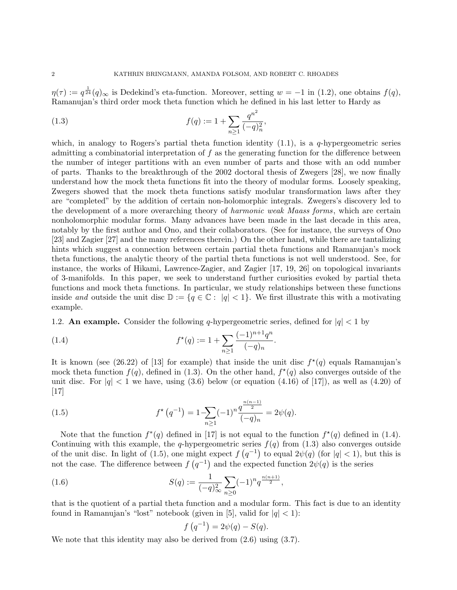$\eta(\tau) := q^{\frac{1}{24}}(q)_{\infty}$  is Dedekind's eta-function. Moreover, setting  $w = -1$  in (1.2), one obtains  $f(q)$ , Ramanujan's third order mock theta function which he defined in his last letter to Hardy as

(1.3) 
$$
f(q) := 1 + \sum_{n \ge 1} \frac{q^{n^2}}{(-q)_n^2},
$$

which, in analogy to Rogers's partial theta function identity  $(1.1)$ , is a *q*-hypergeometric series admitting a combinatorial interpretation of f as the generating function for the difference between the number of integer partitions with an even number of parts and those with an odd number of parts. Thanks to the breakthrough of the 2002 doctoral thesis of Zwegers [28], we now finally understand how the mock theta functions fit into the theory of modular forms. Loosely speaking, Zwegers showed that the mock theta functions satisfy modular transformation laws after they are "completed" by the addition of certain non-holomorphic integrals. Zwegers's discovery led to the development of a more overarching theory of *harmonic weak Maass forms*, which are certain nonholomorphic modular forms. Many advances have been made in the last decade in this area, notably by the first author and Ono, and their collaborators. (See for instance, the surveys of Ono [23] and Zagier [27] and the many references therein.) On the other hand, while there are tantalizing hints which suggest a connection between certain partial theta functions and Ramanujan's mock theta functions, the analytic theory of the partial theta functions is not well understood. See, for instance, the works of Hikami, Lawrence-Zagier, and Zagier [17, 19, 26] on topological invariants of 3-manifolds. In this paper, we seek to understand further curiosities evoked by partial theta functions and mock theta functions. In particular, we study relationships between these functions inside and outside the unit disc  $\mathbb{D} := \{q \in \mathbb{C} : |q| < 1\}.$  We first illustrate this with a motivating example.

1.2. An example. Consider the following q-hypergeometric series, defined for  $|q| < 1$  by

(1.4) 
$$
f^{\star}(q) := 1 + \sum_{n \geq 1} \frac{(-1)^{n+1} q^n}{(-q)_n}.
$$

It is known (see (26.22) of [13] for example) that inside the unit disc  $f^*(q)$  equals Ramanujan's mock theta function  $f(q)$ , defined in (1.3). On the other hand,  $f^{\star}(q)$  also converges outside of the unit disc. For  $|q| < 1$  we have, using  $(3.6)$  below (or equation  $(4.16)$  of  $[17]$ ), as well as  $(4.20)$  of  $|17|$ 

(1.5) 
$$
f^{\star}(q^{-1}) = 1 - \sum_{n\geq 1} (-1)^n \frac{q^{\frac{n(n-1)}{2}}}{(-q)_n} = 2\psi(q).
$$

Note that the function  $f^*(q)$  defined in [17] is not equal to the function  $f^*(q)$  defined in (1.4). Continuing with this example, the q-hypergeometric series  $f(q)$  from (1.3) also converges outside of the unit disc. In light of (1.5), one might expect  $f(q^{-1})$  to equal  $2\psi(q)$  (for  $|q| < 1$ ), but this is not the case. The difference between  $f(q^{-1})$  and the expected function  $2\psi(q)$  is the series

(1.6) 
$$
S(q) := \frac{1}{(-q)_{\infty}^2} \sum_{n \geq 0} (-1)^n q^{\frac{n(n+1)}{2}},
$$

that is the quotient of a partial theta function and a modular form. This fact is due to an identity found in Ramanujan's "lost" notebook (given in [5], valid for  $|q| < 1$ ):

$$
f(q^{-1}) = 2\psi(q) - S(q).
$$

We note that this identity may also be derived from  $(2.6)$  using  $(3.7)$ .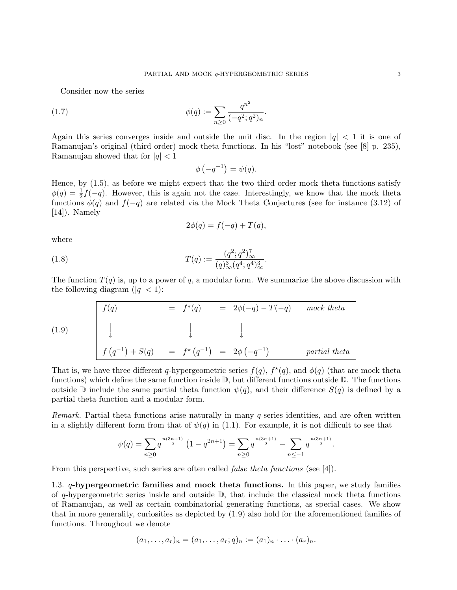Consider now the series

(1.7) 
$$
\phi(q) := \sum_{n\geq 0} \frac{q^{n^2}}{(-q^2;q^2)_n}.
$$

Again this series converges inside and outside the unit disc. In the region  $|q| < 1$  it is one of Ramanujan's original (third order) mock theta functions. In his "lost" notebook (see [8] p. 235), Ramanujan showed that for  $|q| < 1$ 

$$
\phi\left(-q^{-1}\right) = \psi(q).
$$

Hence, by (1.5), as before we might expect that the two third order mock theta functions satisfy  $\phi(q) = \frac{1}{2}f(-q)$ . However, this is again not the case. Interestingly, we know that the mock theta functions  $\phi(q)$  and  $f(-q)$  are related via the Mock Theta Conjectures (see for instance (3.12) of [14]). Namely

$$
2\phi(q) = f(-q) + T(q),
$$

where

(1.8) 
$$
T(q) := \frac{(q^2;q^2)_{\infty}^7}{(q)_{\infty}^3 (q^4;q^4)_{\infty}^3}.
$$

The function  $T(q)$  is, up to a power of q, a modular form. We summarize the above discussion with the following diagram  $(|q| < 1)$ :

(1.9)  

$$
\begin{array}{|rcll|}\n f(q) & = & f^*(q) & = & 2\phi(-q) - T(-q) \mod theta \\
& \downarrow & & \downarrow & & \downarrow \\
f(q^{-1}) + S(q) & = & f^*\left(q^{-1}\right) & = & 2\phi\left(-q^{-1}\right) \mod theta\n\end{array}
$$
partial theta

That is, we have three different q-hypergeometric series  $f(q)$ ,  $f^*(q)$ , and  $\phi(q)$  (that are mock theta functions) which define the same function inside D, but different functions outside D. The functions outside D include the same partial theta function  $\psi(q)$ , and their difference  $S(q)$  is defined by a partial theta function and a modular form.

Remark. Partial theta functions arise naturally in many q-series identities, and are often written in a slightly different form from that of  $\psi(q)$  in (1.1). For example, it is not difficult to see that

$$
\psi(q) = \sum_{n\geq 0} q^{\frac{n(3n+1)}{2}} \left(1 - q^{2n+1}\right) = \sum_{n\geq 0} q^{\frac{n(3n+1)}{2}} - \sum_{n\leq -1} q^{\frac{n(3n+1)}{2}}.
$$

From this perspective, such series are often called *false theta functions* (see [4]).

1.3. q-hypergeometric families and mock theta functions. In this paper, we study families of q-hypergeometric series inside and outside  $\mathbb{D}$ , that include the classical mock theta functions of Ramanujan, as well as certain combinatorial generating functions, as special cases. We show that in more generality, curiosities as depicted by (1.9) also hold for the aforementioned families of functions. Throughout we denote

$$
(a_1,\ldots,a_r)_n=(a_1,\ldots,a_r;q)_n:=(a_1)_n\cdot\ldots\cdot(a_r)_n.
$$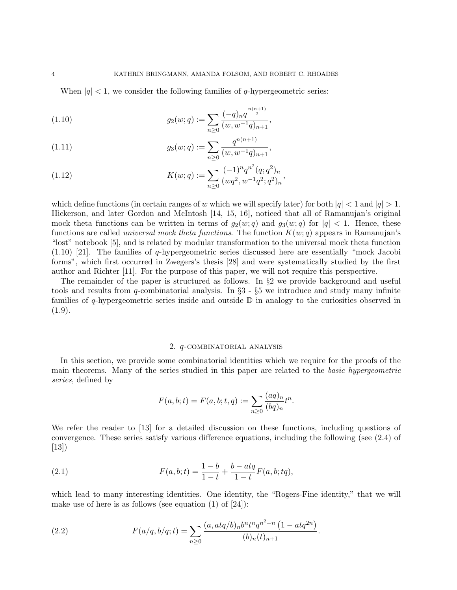When  $|q|$  < 1, we consider the following families of q-hypergeometric series:

(1.10) 
$$
g_2(w;q) := \sum_{n\geq 0} \frac{(-q)_n q^{\frac{n(n+1)}{2}}}{(w,w^{-1}q)_{n+1}},
$$

(1.11) 
$$
g_3(w;q) := \sum_{n\geq 0} \frac{q^{n(n+1)}}{(w,w^{-1}q)_{n+1}},
$$

(1.12) 
$$
K(w;q) := \sum_{n\geq 0} \frac{(-1)^n q^{n^2} (q;q^2)_n}{(wq^2, w^{-1}q^2;q^2)_n},
$$

which define functions (in certain ranges of w which we will specify later) for both  $|q| < 1$  and  $|q| > 1$ . Hickerson, and later Gordon and McIntosh [14, 15, 16], noticed that all of Ramanujan's original mock theta functions can be written in terms of  $g_2(w; q)$  and  $g_3(w; q)$  for  $|q| < 1$ . Hence, these functions are called *universal mock theta functions*. The function  $K(w; q)$  appears in Ramanujan's "lost" notebook [5], and is related by modular transformation to the universal mock theta function (1.10) [21]. The families of q-hypergeometric series discussed here are essentially "mock Jacobi forms", which first occurred in Zwegers's thesis [28] and were systematically studied by the first author and Richter [11]. For the purpose of this paper, we will not require this perspective.

The remainder of the paper is structured as follows. In §2 we provide background and useful tools and results from q-combinatorial analysis. In  $\S3$  -  $\S5$  we introduce and study many infinite families of q-hypergeometric series inside and outside  $\mathbb D$  in analogy to the curiosities observed in  $(1.9).$ 

## 2. q-combinatorial analysis

In this section, we provide some combinatorial identities which we require for the proofs of the main theorems. Many of the series studied in this paper are related to the basic hypergeometric series, defined by

$$
F(a, b; t) = F(a, b; t, q) := \sum_{n \ge 0} \frac{(aq)_n}{(bq)_n} t^n.
$$

We refer the reader to [13] for a detailed discussion on these functions, including questions of convergence. These series satisfy various difference equations, including the following (see (2.4) of [13])

(2.1) 
$$
F(a, b; t) = \frac{1 - b}{1 - t} + \frac{b - atq}{1 - t} F(a, b; tq),
$$

which lead to many interesting identities. One identity, the "Rogers-Fine identity," that we will make use of here is as follows (see equation  $(1)$  of  $[24]$ ):

(2.2) 
$$
F(a/q, b/q; t) = \sum_{n\geq 0} \frac{(a, atq/b)_n b^n t^n q^{n^2 - n} (1 - atq^{2n})}{(b)_n (t)_{n+1}}.
$$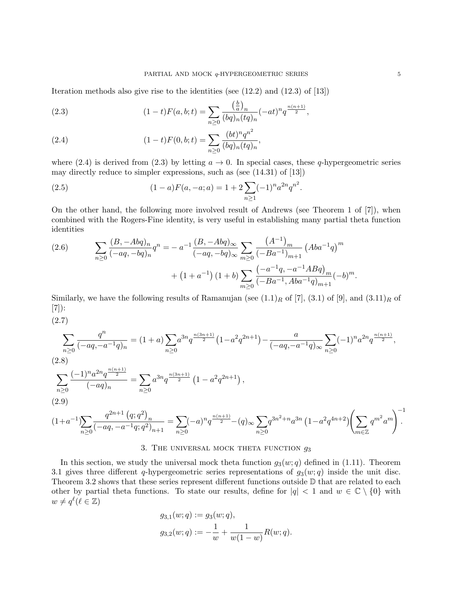Iteration methods also give rise to the identities (see (12.2) and (12.3) of [13])

(2.3) 
$$
(1-t)F(a,b;t) = \sum_{n\geq 0} \frac{\left(\frac{b}{a}\right)_n}{(bq)_n(tq)_n} (-at)^n q^{\frac{n(n+1)}{2}},
$$

(2.4) 
$$
(1-t)F(0, b; t) = \sum_{n\geq 0} \frac{(bt)^n q^{n^2}}{(bq)_n (tq)_n},
$$

where (2.4) is derived from (2.3) by letting  $a \to 0$ . In special cases, these q-hypergeometric series may directly reduce to simpler expressions, such as (see (14.31) of [13])

(2.5) 
$$
(1-a)F(a, -a; a) = 1 + 2\sum_{n\geq 1} (-1)^n a^{2n} q^{n^2}.
$$

On the other hand, the following more involved result of Andrews (see Theorem 1 of [7]), when combined with the Rogers-Fine identity, is very useful in establishing many partial theta function identities

(2.6) 
$$
\sum_{n\geq 0} \frac{(B, -Abq)_n}{(-aq, -bq)_n} q^n = -a^{-1} \frac{(B, -Abq)_{\infty}}{(-aq, -bq)_{\infty}} \sum_{m\geq 0} \frac{(A^{-1})_m}{(-Ba^{-1})_{m+1}} (Aba^{-1}q)^m + (1+a^{-1})(1+b) \sum_{m\geq 0} \frac{(-a^{-1}q, -a^{-1}ABq)_m}{(-Ba^{-1}, Aba^{-1}q)_{m+1}} (-b)^m.
$$

Similarly, we have the following results of Ramanujan (see  $(1.1)_R$  of [7],  $(3.1)$  of [9], and  $(3.11)_R$  of [7]):

(2.7)

$$
\sum_{n\geq 0} \frac{q^n}{(-aq, -a^{-1}q)_n} = (1+a) \sum_{n\geq 0} a^{3n} q^{\frac{n(3n+1)}{2}} (1-a^2 q^{2n+1}) - \frac{a}{(-aq, -a^{-1}q)_{\infty}} \sum_{n\geq 0} (-1)^n a^{2n} q^{\frac{n(n+1)}{2}},
$$
\n(2.8)\n
$$
\sum_{n\geq 0} \frac{(-1)^n a^{2n} q^{\frac{n(n+1)}{2}}}{(-aq)_n} = \sum_{n\geq 0} a^{3n} q^{\frac{n(3n+1)}{2}} (1-a^2 q^{2n+1}),
$$
\n(2.9)\n
$$
(1+a^{-1}) \sum_{n\geq 0} \frac{q^{2n+1} (q;q^2)_n}{(-aq, -a^{-1}q;q^2)_{n+1}} = \sum_{n\geq 0} (-a)^n q^{\frac{n(n+1)}{2}} - (q)_{\infty} \sum_{n\geq 0} q^{3n^2+n} a^{3n} (1-a^2 q^{4n+2}) \left(\sum_{m\in\mathbb{Z}} q^{m^2} a^m\right)^{-1}.
$$

# 3. THE UNIVERSAL MOCK THETA FUNCTION  $g_3$

In this section, we study the universal mock theta function  $g_3(w; q)$  defined in (1.11). Theorem 3.1 gives three different q-hypergeometric series representations of  $g_3(w; q)$  inside the unit disc. Theorem 3.2 shows that these series represent different functions outside  $\mathbb D$  that are related to each other by partial theta functions. To state our results, define for  $|q| < 1$  and  $w \in \mathbb{C} \setminus \{0\}$  with  $w \neq q^{\ell}(\ell \in \mathbb{Z})$ 

$$
g_{3,1}(w;q) := g_3(w;q),
$$
  

$$
g_{3,2}(w;q) := -\frac{1}{w} + \frac{1}{w(1-w)}R(w;q).
$$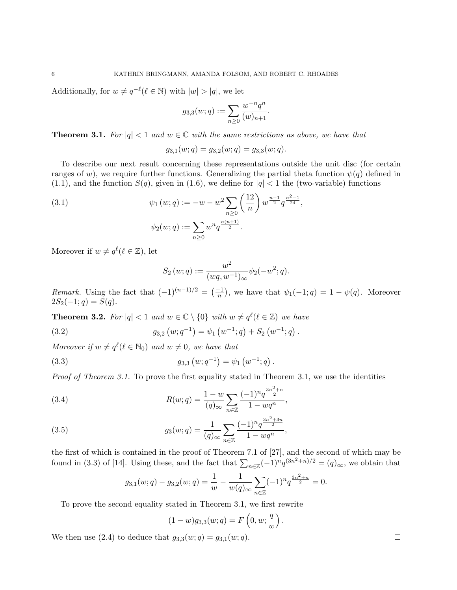Additionally, for  $w \neq q^{-\ell}(\ell \in \mathbb{N})$  with  $|w| > |q|$ , we let

$$
g_{3,3}(w;q):=\sum_{n\geq 0}\frac{w^{-n}q^n}{(w)_{n+1}}.
$$

**Theorem 3.1.** For  $|q| < 1$  and  $w \in \mathbb{C}$  with the same restrictions as above, we have that

$$
g_{3,1}(w;q) = g_{3,2}(w;q) = g_{3,3}(w;q).
$$

To describe our next result concerning these representations outside the unit disc (for certain ranges of w), we require further functions. Generalizing the partial theta function  $\psi(q)$  defined in  $(1.1)$ , and the function  $S(q)$ , given in  $(1.6)$ , we define for  $|q| < 1$  the (two-variable) functions

(3.1) 
$$
\psi_1(w;q) := -w - w^2 \sum_{n\geq 0} \left(\frac{12}{n}\right) w^{\frac{n-1}{2}} q^{\frac{n^2-1}{24}},
$$

$$
\psi_2(w;q) := \sum_{n\geq 0} w^n q^{\frac{n(n+1)}{2}}.
$$

Moreover if  $w \neq q^{\ell}(\ell \in \mathbb{Z})$ , let

$$
S_2(w;q) := \frac{w^2}{(wq, w^{-1})_{\infty}} \psi_2(-w^2; q).
$$

Remark. Using the fact that  $(-1)^{(n-1)/2} = \left(\frac{-1}{n}\right)$ , we have that  $\psi_1(-1; q) = 1 - \psi(q)$ . Moreover  $2S_2(-1; q) = S(q).$ 

**Theorem 3.2.** For  $|q| < 1$  and  $w \in \mathbb{C} \setminus \{0\}$  with  $w \neq q^{\ell}(\ell \in \mathbb{Z})$  we have

(3.2) 
$$
g_{3,2}(w;q^{-1}) = \psi_1(w^{-1};q) + S_2(w^{-1};q).
$$

Moreover if  $w \neq q^{\ell}(\ell \in \mathbb{N}_0)$  and  $w \neq 0$ , we have that

(3.3) 
$$
g_{3,3}(w;q^{-1}) = \psi_1(w^{-1};q).
$$

Proof of Theorem 3.1. To prove the first equality stated in Theorem 3.1, we use the identities

(3.4) 
$$
R(w;q) = \frac{1-w}{(q)_{\infty}} \sum_{n \in \mathbb{Z}} \frac{(-1)^n q^{\frac{3n^2+n}{2}}}{1 - wq^n},
$$

(3.5) 
$$
g_3(w;q) = \frac{1}{(q)_{\infty}} \sum_{n \in \mathbb{Z}} \frac{(-1)^n q^{\frac{3n^2+3n}{2}}}{1 - wq^n},
$$

the first of which is contained in the proof of Theorem 7.1 of [27], and the second of which may be found in (3.3) of [14]. Using these, and the fact that  $\sum_{n\in\mathbb{Z}}(-1)^nq^{(3n^2+n)/2}=(q)_{\infty}$ , we obtain that

$$
g_{3,1}(w;q) - g_{3,2}(w;q) = \frac{1}{w} - \frac{1}{w(q)_{\infty}} \sum_{n \in \mathbb{Z}} (-1)^n q^{\frac{3n^2 + n}{2}} = 0.
$$

To prove the second equality stated in Theorem 3.1, we first rewrite

$$
(1 - w)g_{3,3}(w;q) = F\left(0, w; \frac{q}{w}\right).
$$

We then use (2.4) to deduce that  $g_{3,3}(w;q) = g_{3,1}(w;q)$ .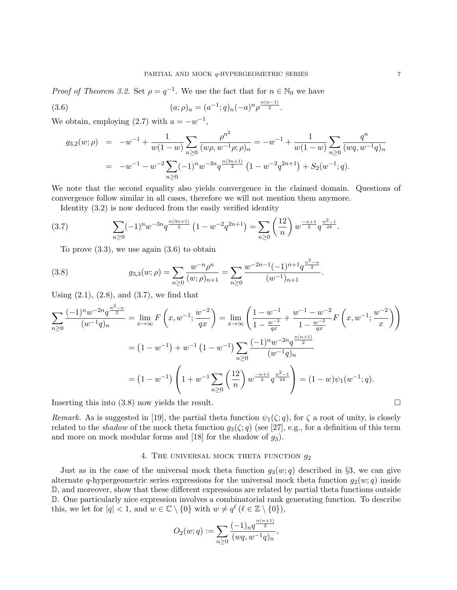*Proof of Theorem 3.2.* Set  $\rho = q^{-1}$ . We use the fact that for  $n \in \mathbb{N}_0$  we have

(3.6) 
$$
(a; \rho)_n = (a^{-1}; q)_n (-a)^n \rho^{\frac{n(n-1)}{2}}.
$$

We obtain, employing  $(2.7)$  with  $a = -w^{-1}$ ,

$$
g_{3,2}(w;\rho) = -w^{-1} + \frac{1}{w(1-w)} \sum_{n\geq 0} \frac{\rho^{n^2}}{(w\rho, w^{-1}\rho; \rho)_n} = -w^{-1} + \frac{1}{w(1-w)} \sum_{n\geq 0} \frac{q^n}{(wq, w^{-1}q)_n}
$$
  
= 
$$
-w^{-1} - w^{-2} \sum_{n\geq 0} (-1)^n w^{-3n} q^{\frac{n(3n+1)}{2}} (1 - w^{-2} q^{2n+1}) + S_2(w^{-1}; q).
$$

We note that the second equality also yields convergence in the claimed domain. Questions of convergence follow similar in all cases, therefore we will not mention them anymore.

Identity (3.2) is now deduced from the easily verified identity

$$
(3.7) \qquad \sum_{n\geq 0} (-1)^n w^{-3n} q^{\frac{n(3n+1)}{2}} \left(1 - w^{-2} q^{2n+1}\right) = \sum_{n\geq 0} \left(\frac{12}{n}\right) w^{\frac{-n+1}{2}} q^{\frac{n^2-1}{24}}.
$$

To prove  $(3.3)$ , we use again  $(3.6)$  to obtain

(3.8) 
$$
g_{3,3}(w;\rho) = \sum_{n\geq 0} \frac{w^{-n}\rho^n}{(w;\rho)_{n+1}} = \sum_{n\geq 0} \frac{w^{-2n-1}(-1)^{n+1}q^{\frac{n^2-n}{2}}}{(w^{-1})_{n+1}}.
$$

Using  $(2.1)$ ,  $(2.8)$ , and  $(3.7)$ , we find that

$$
\sum_{n\geq 0} \frac{(-1)^n w^{-2n} q^{\frac{n^2-n}{2}}}{(w^{-1}q)_n} = \lim_{x\to\infty} F\left(x, w^{-1}; \frac{w^{-2}}{qx}\right) = \lim_{x\to\infty} \left(\frac{1-w^{-1}}{1-\frac{w^{-2}}{qx}} + \frac{w^{-1}-w^{-2}}{1-\frac{w^{-2}}{qx}}F\left(x, w^{-1}; \frac{w^{-2}}{x}\right)\right)
$$

$$
= (1-w^{-1}) + w^{-1} (1-w^{-1}) \sum_{n\geq 0} \frac{(-1)^n w^{-2n} q^{\frac{n(n+1)}{2}}}{(w^{-1}q)_n}
$$

$$
= (1-w^{-1}) \left(1 + w^{-1} \sum_{n\geq 0} \left(\frac{12}{n}\right) w^{\frac{-n+1}{2}} q^{\frac{n^2-1}{24}}\right) = (1-w)\psi_1(w^{-1}; q).
$$

Inserting this into  $(3.8)$  now yields the result.

Remark. As is suggested in [19], the partial theta function  $\psi_1(\zeta; q)$ , for  $\zeta$  a root of unity, is closely related to the *shadow* of the mock theta function  $g_3(\zeta; q)$  (see [27], e.g., for a definition of this term and more on mock modular forms and [18] for the shadow of  $g_3$ ).

## 4. THE UNIVERSAL MOCK THETA FUNCTION  $g_2$

Just as in the case of the universal mock theta function  $g_3(w; q)$  described in §3, we can give alternate q-hypergeometric series expressions for the universal mock theta function  $g_2(w; q)$  inside D, and moreover, show that these different expressions are related by partial theta functions outside D. One particularly nice expression involves a combinatorial rank generating function. To describe this, we let for  $|q| < 1$ , and  $w \in \mathbb{C} \setminus \{0\}$  with  $w \neq q^{\ell}$  ( $\ell \in \mathbb{Z} \setminus \{0\}$ ),

$$
O_2(w;q) := \sum_{n\geq 0} \frac{(-1)_n q^{\frac{n(n+1)}{2}}}{(wq, w^{-1}q)_n},
$$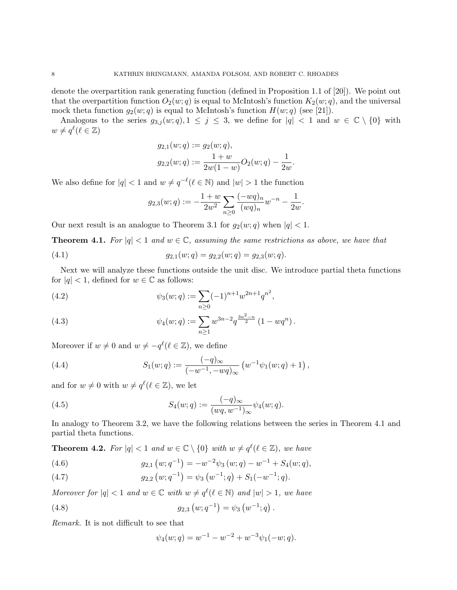denote the overpartition rank generating function (defined in Proposition 1.1 of [20]). We point out that the overpartition function  $O_2(w; q)$  is equal to McIntosh's function  $K_2(w; q)$ , and the universal mock theta function  $g_2(w; q)$  is equal to McIntosh's function  $H(w; q)$  (see [21]).

Analogous to the series  $g_{3,j}(w;q), 1 \leq j \leq 3$ , we define for  $|q| < 1$  and  $w \in \mathbb{C} \setminus \{0\}$  with  $w \neq q^{\ell}(\ell \in \mathbb{Z})$ 

$$
g_{2,1}(w;q) := g_2(w;q),
$$
  

$$
g_{2,2}(w;q) := \frac{1+w}{2w(1-w)}O_2(w;q) - \frac{1}{2w}.
$$

We also define for  $|q| < 1$  and  $w \neq q^{-\ell}$  ( $\ell \in \mathbb{N}$ ) and  $|w| > 1$  the function

$$
g_{2,3}(w;q):=-\frac{1+w}{2w^2}\sum_{n\geq 0}\frac{(-wq)_n}{(wq)_n}w^{-n}-\frac{1}{2w}.
$$

Our next result is an analogue to Theorem 3.1 for  $g_2(w; q)$  when  $|q| < 1$ .

**Theorem 4.1.** For  $|q| < 1$  and  $w \in \mathbb{C}$ , assuming the same restrictions as above, we have that

(4.1) 
$$
g_{2,1}(w;q) = g_{2,2}(w;q) = g_{2,3}(w;q).
$$

Next we will analyze these functions outside the unit disc. We introduce partial theta functions for  $|q| < 1$ , defined for  $w \in \mathbb{C}$  as follows:

(4.2) 
$$
\psi_3(w;q) := \sum_{n\geq 0} (-1)^{n+1} w^{2n+1} q^{n^2},
$$

(4.3) 
$$
\psi_4(w;q) := \sum_{n\geq 1} w^{3n-2} q^{\frac{3n^2-n}{2}} (1 - wq^n).
$$

Moreover if  $w \neq 0$  and  $w \neq -q^{\ell}(\ell \in \mathbb{Z})$ , we define

(4.4) 
$$
S_1(w;q) := \frac{(-q)_{\infty}}{(-w^{-1}, -wq)_{\infty}} \left( w^{-1} \psi_1(w;q) + 1 \right),
$$

and for  $w \neq 0$  with  $w \neq q^{\ell}$  ( $\ell \in \mathbb{Z}$ ), we let

(4.5) 
$$
S_4(w;q) := \frac{(-q)_{\infty}}{(wq, w^{-1})_{\infty}} \psi_4(w;q).
$$

In analogy to Theorem 3.2, we have the following relations between the series in Theorem 4.1 and partial theta functions.

**Theorem 4.2.** For  $|q| < 1$  and  $w \in \mathbb{C} \setminus \{0\}$  with  $w \neq q^{\ell}(\ell \in \mathbb{Z})$ , we have

(4.6) 
$$
g_{2,1}(w;q^{-1}) = -w^{-2}\psi_3(w;q) - w^{-1} + S_4(w;q),
$$

(4.7) 
$$
g_{2,2}(w;q^{-1}) = \psi_3(w^{-1};q) + S_1(-w^{-1};q).
$$

Moreover for  $|q| < 1$  and  $w \in \mathbb{C}$  with  $w \neq q^{\ell}(\ell \in \mathbb{N})$  and  $|w| > 1$ , we have

(4.8) 
$$
g_{2,3}(w;q^{-1}) = \psi_3(w^{-1};q).
$$

Remark. It is not difficult to see that

$$
\psi_4(w;q) = w^{-1} - w^{-2} + w^{-3}\psi_1(-w;q).
$$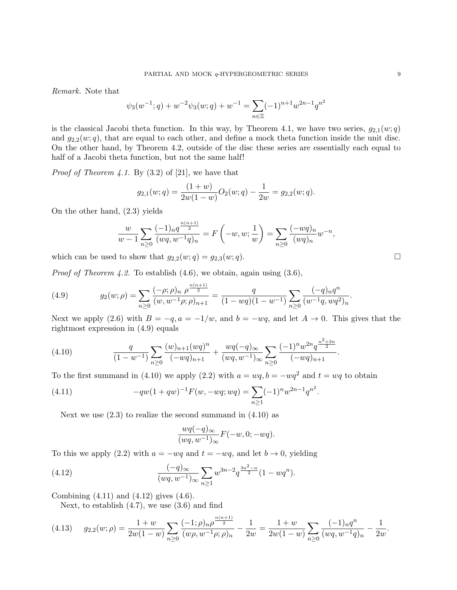Remark. Note that

$$
\psi_3(w^{-1};q) + w^{-2}\psi_3(w;q) + w^{-1} = \sum_{n \in \mathbb{Z}} (-1)^{n+1} w^{2n-1} q^{n^2}
$$

is the classical Jacobi theta function. In this way, by Theorem 4.1, we have two series,  $g_{2,1}(w;q)$ and  $g_{2,2}(w;q)$ , that are equal to each other, and define a mock theta function inside the unit disc. On the other hand, by Theorem 4.2, outside of the disc these series are essentially each equal to half of a Jacobi theta function, but not the same half!

*Proof of Theorem 4.1.* By  $(3.2)$  of [21], we have that

$$
g_{2,1}(w;q) = \frac{(1+w)}{2w(1-w)}O_2(w;q) - \frac{1}{2w} = g_{2,2}(w;q).
$$

On the other hand, (2.3) yields

$$
\frac{w}{w-1} \sum_{n\geq 0} \frac{(-1)_n q^{\frac{n(n+1)}{2}}}{(wq, w^{-1}q)_n} = F\left(-w, w; \frac{1}{w}\right) = \sum_{n\geq 0} \frac{(-wq)_n}{(wq)_n} w^{-n},
$$

which can be used to show that  $g_{2,2}(w;q) = g_{2,3}(w;q)$ .

*Proof of Theorem 4.2.* To establish  $(4.6)$ , we obtain, again using  $(3.6)$ ,

(4.9) 
$$
g_2(w;\rho) = \sum_{n\geq 0} \frac{(-\rho;\rho)_n \rho^{\frac{n(n+1)}{2}}}{(w,w^{-1}\rho;\rho)_{n+1}} = \frac{q}{(1-wq)(1-w^{-1})} \sum_{n\geq 0} \frac{(-q)_n q^n}{(w^{-1}q,wq^2)_n}.
$$

Next we apply (2.6) with  $B = -q$ ,  $a = -1/w$ , and  $b = -wq$ , and let  $A \rightarrow 0$ . This gives that the rightmost expression in (4.9) equals

(4.10) 
$$
\frac{q}{(1-w^{-1})}\sum_{n\geq 0}\frac{(w)_{n+1}(wq)^n}{(-wq)_{n+1}}+\frac{wq(-q)_{\infty}}{(wq,w^{-1})_{\infty}}\sum_{n\geq 0}\frac{(-1)^n w^{2n}q^{\frac{n^2+3n}{2}}}{(-wq)_{n+1}}.
$$

To the first summand in (4.10) we apply (2.2) with  $a = wq$ ,  $b = -wq^2$  and  $t = wq$  to obtain

(4.11) 
$$
-qw(1+qw)^{-1}F(w, -wq; wq) = \sum_{n\geq 1} (-1)^n w^{2n-1} q^{n^2}.
$$

Next we use  $(2.3)$  to realize the second summand in  $(4.10)$  as

$$
\frac{wq(-q)_{\infty}}{(wq, w^{-1})_{\infty}}F(-w, 0; -wq).
$$

To this we apply (2.2) with  $a = -wq$  and  $t = -wq$ , and let  $b \to 0$ , yielding

(4.12) 
$$
\frac{(-q)_{\infty}}{(wq, w^{-1})_{\infty}} \sum_{n \ge 1} w^{3n-2} q^{\frac{3n^2-n}{2}} (1 - wq^n).
$$

Combining (4.11) and (4.12) gives (4.6).

Next, to establish  $(4.7)$ , we use  $(3.6)$  and find

$$
(4.13) \qquad g_{2,2}(w;\rho) = \frac{1+w}{2w(1-w)} \sum_{n\geq 0} \frac{(-1;\rho)_n \rho^{\frac{n(n+1)}{2}}}{(w\rho, w^{-1}\rho; \rho)_n} - \frac{1}{2w} = \frac{1+w}{2w(1-w)} \sum_{n\geq 0} \frac{(-1)_n q^n}{(wq, w^{-1}q)_n} - \frac{1}{2w}.
$$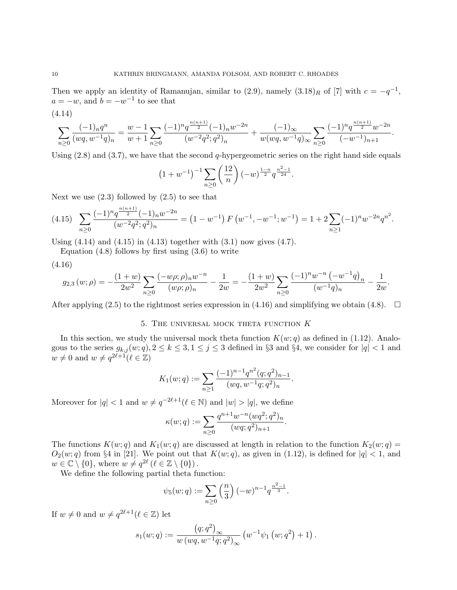Then we apply an identity of Ramanujan, similar to  $(2.9)$ , namely  $(3.18)<sub>R</sub>$  of [7] with  $c = -q^{-1}$ ,  $a = -w$ , and  $b = -w^{-1}$  to see that

$$
(4.14)
$$

$$
\sum_{n\geq 0} \frac{(-1)_n q^n}{(wq, w^{-1}q)_n} = \frac{w-1}{w+1} \sum_{n\geq 0} \frac{(-1)^n q^{\frac{n(n+1)}{2}} (-1)_n w^{-2n}}{(w^{-2}q^2;q^2)_n} + \frac{(-1)_{\infty}}{w(wq, w^{-1}q)_{\infty}} \sum_{n\geq 0} \frac{(-1)^n q^{\frac{n(n+1)}{2}} w^{-2n}}{(-w^{-1})_{n+1}}
$$

.

Using  $(2.8)$  and  $(3.7)$ , we have that the second q-hypergeometric series on the right hand side equals

$$
(1 + w^{-1})^{-1} \sum_{n \ge 0} \left(\frac{12}{n}\right) (-w)^{\frac{1-n}{2}} q^{\frac{n^2-1}{24}}.
$$

Next we use  $(2.3)$  followed by  $(2.5)$  to see that

$$
(4.15)\quad \sum_{n\geq 0} \frac{(-1)^n q^{\frac{n(n+1)}{2}} (-1) n w^{-2n}}{(w^{-2} q^2; q^2)_n} = \left(1 - w^{-1}\right) F\left(w^{-1}, -w^{-1}; w^{-1}\right) = 1 + 2 \sum_{n\geq 1} (-1)^n w^{-2n} q^{n^2}.
$$

Using  $(4.14)$  and  $(4.15)$  in  $(4.13)$  together with  $(3.1)$  now gives  $(4.7)$ .

Equation  $(4.8)$  follows by first using  $(3.6)$  to write

$$
(4.16)
$$

$$
g_{2,3}(w;\rho) = -\frac{(1+w)}{2w^2} \sum_{n\geq 0} \frac{(-w\rho;\rho)_n w^{-n}}{(w\rho;\rho)_n} - \frac{1}{2w} = -\frac{(1+w)}{2w^2} \sum_{n\geq 0} \frac{(-1)^n w^{-n} (-w^{-1}q)_n}{(w^{-1}q)_n} - \frac{1}{2w}.
$$

After applying (2.5) to the rightmost series expression in (4.16) and simplifying we obtain (4.8).  $\Box$ 

# 5. The universal mock theta function K

In this section, we study the universal mock theta function  $K(w; q)$  as defined in (1.12). Analogous to the series  $g_{k,j}(w;q), 2 \leq k \leq 3, 1 \leq j \leq 3$  defined in §3 and §4, we consider for  $|q| < 1$  and  $w \neq 0$  and  $w \neq q^{2\ell+1}(\ell \in \mathbb{Z})$ 

$$
K_1(w;q) := \sum_{n\geq 1} \frac{(-1)^{n-1} q^{n^2} (q;q^2)_{n-1}}{(wq,w^{-1}q;q^2)_n}.
$$

Moreover for  $|q| < 1$  and  $w \neq q^{-2\ell+1}$  ( $\ell \in \mathbb{N}$ ) and  $|w| > |q|$ , we define

$$
\kappa(w;q) := \sum_{n\geq 0} \frac{q^{n+1}w^{-n}(wq^2;q^2)_n}{(wq;q^2)_{n+1}}.
$$

The functions  $K(w; q)$  and  $K_1(w; q)$  are discussed at length in relation to the function  $K_2(w; q)$  =  $O_2(w; q)$  from §4 in [21]. We point out that  $K(w; q)$ , as given in (1.12), is defined for  $|q| < 1$ , and  $w \in \mathbb{C} \setminus \{0\}$ , where  $w \neq q^{2\ell}$  ( $\ell \in \mathbb{Z} \setminus \{0\}$ ).

We define the following partial theta function:

$$
\psi_5(w;q) := \sum_{n \ge 0} \left(\frac{n}{3}\right) (-w)^{n-1} q^{\frac{n^2-1}{3}}.
$$

If  $w \neq 0$  and  $w \neq q^{2\ell+1}$  ( $\ell \in \mathbb{Z}$ ) let

$$
s_1(w;q) := \frac{(q;q^2)_{\infty}}{w (wq,w^{-1}q;q^2)_{\infty}} (w^{-1}\psi_1(w;q^2) + 1).
$$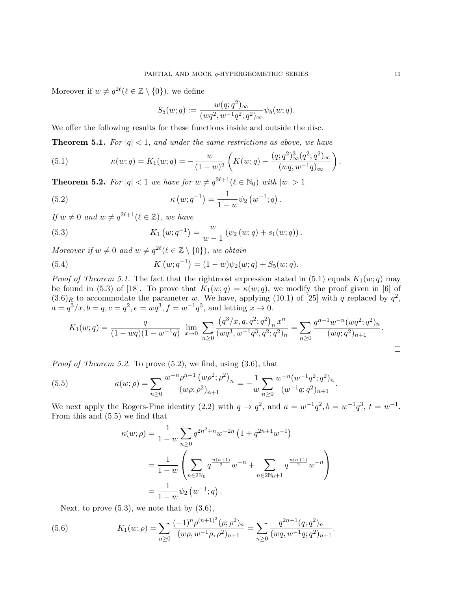Moreover if  $w \neq q^{2\ell}$  ( $\ell \in \mathbb{Z} \setminus \{0\}$ ), we define

$$
S_5(w;q) := \frac{w(q;q^2)_{\infty}}{(wq^2, w^{-1}q^2;q^2)_{\infty}} \psi_5(w;q).
$$

We offer the following results for these functions inside and outside the disc.

**Theorem 5.1.** For  $|q| < 1$ , and under the same restrictions as above, we have

(5.1) 
$$
\kappa(w;q) = K_1(w;q) = -\frac{w}{(1-w)^2} \left( K(w;q) - \frac{(q;q^2)_{\infty}^3 (q^2;q^2)_{\infty}}{(wq,w^{-1}q)_{\infty}} \right).
$$

**Theorem 5.2.** For  $|q| < 1$  we have for  $w \neq q^{2\ell+1}(\ell \in \mathbb{N}_0)$  with  $|w| > 1$ 

(5.2) 
$$
\kappa(w; q^{-1}) = \frac{1}{1-w} \psi_2(w^{-1}; q).
$$

If  $w \neq 0$  and  $w \neq q^{2\ell+1}$  ( $\ell \in \mathbb{Z}$ ), we have

(5.3) 
$$
K_1(w;q^{-1}) = \frac{w}{w-1} (\psi_2(w;q) + s_1(w;q)).
$$

Moreover if  $w \neq 0$  and  $w \neq q^{2\ell}$  ( $\ell \in \mathbb{Z} \setminus \{0\}$ ), we obtain

(5.4) 
$$
K(w; q^{-1}) = (1 - w)\psi_2(w; q) + S_5(w; q).
$$

*Proof of Theorem 5.1.* The fact that the rightmost expression stated in (5.1) equals  $K_1(w; q)$  may be found in (5.3) of [18]. To prove that  $K_1(w; q) = \kappa(w; q)$ , we modify the proof given in [6] of  $(3.6)_R$  to accommodate the parameter w. We have, applying (10.1) of [25] with q replaced by  $q^2$ ,  $a = q^3/x, b = q, c = q^2, e = wq^3, f = w^{-1}q^3$ , and letting  $x \to 0$ .

$$
K_1(w;q) = \frac{q}{(1 - wq)(1 - w^{-1}q)} \lim_{x \to 0} \sum_{n \ge 0} \frac{(q^3/x, q, q^2; q^2)_n x^n}{(wq^3, w^{-1}q^3, q^2; q^2)_n} = \sum_{n \ge 0} \frac{q^{n+1}w^{-n}(wq^2; q^2)_n}{(wq; q^2)_{n+1}}.
$$

*Proof of Theorem 5.2.* To prove  $(5.2)$ , we find, using  $(3.6)$ , that

(5.5) 
$$
\kappa(w;\rho) = \sum_{n\geq 0} \frac{w^{-n}\rho^{n+1} (w\rho^2; \rho^2)_n}{(w\rho; \rho^2)_{n+1}} = -\frac{1}{w} \sum_{n\geq 0} \frac{w^{-n}(w^{-1}q^2; q^2)_n}{(w^{-1}q; q^2)_{n+1}}.
$$

We next apply the Rogers-Fine identity (2.2) with  $q \to q^2$ , and  $a = w^{-1}q^2$ ,  $b = w^{-1}q^3$ ,  $t = w^{-1}$ . From this and (5.5) we find that

$$
\kappa(w;\rho) = \frac{1}{1-w} \sum_{n\geq 0} q^{2n^2+n} w^{-2n} \left(1 + q^{2n+1} w^{-1}\right)
$$
  
= 
$$
\frac{1}{1-w} \left( \sum_{n\in 2\mathbb{N}_0} q^{\frac{n(n+1)}{2}} w^{-n} + \sum_{n\in 2\mathbb{N}_0+1} q^{\frac{n(n+1)}{2}} w^{-n} \right)
$$
  
= 
$$
\frac{1}{1-w} \psi_2(w^{-1};q).
$$

Next, to prove  $(5.3)$ , we note that by  $(3.6)$ ,

(5.6) 
$$
K_1(w;\rho) = \sum_{n\geq 0} \frac{(-1)^n \rho^{(n+1)^2} (\rho;\rho^2)_n}{(w\rho,w^{-1}\rho,\rho^2)_{n+1}} = \sum_{n\geq 0} \frac{q^{2n+1} (q;q^2)_n}{(wq,w^{-1}q;q^2)_{n+1}}.
$$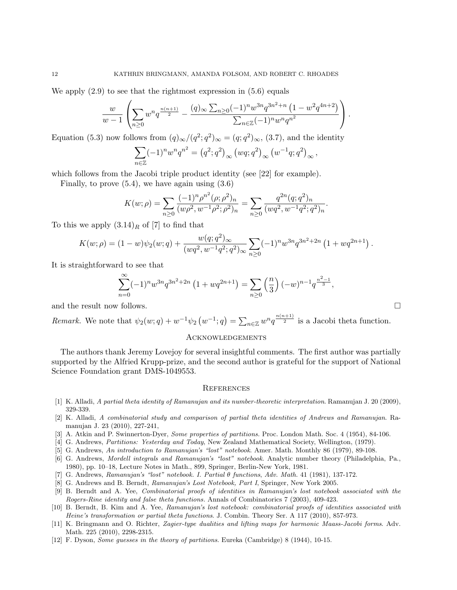We apply  $(2.9)$  to see that the rightmost expression in  $(5.6)$  equals

$$
\frac{w}{w-1}\left(\sum_{n\geq 0}w^n q^{\frac{n(n+1)}{2}}-\frac{(q)_{\infty}\sum_{n\geq 0}(-1)^n w^{3n} q^{3n^2+n}\left(1-w^2 q^{4n+2}\right)}{\sum_{n\in\mathbb{Z}}(-1)^n w^n q^{n^2}}\right).
$$

Equation (5.3) now follows from  $(q)_{\infty}/(q^2; q^2)_{\infty} = (q; q^2)_{\infty}, (3.7)$ , and the identity

$$
\sum_{n \in \mathbb{Z}} (-1)^n w^n q^{n^2} = (q^2; q^2)_{\infty} (wq; q^2)_{\infty} (w^{-1}q; q^2)_{\infty},
$$

which follows from the Jacobi triple product identity (see [22] for example).

Finally, to prove  $(5.4)$ , we have again using  $(3.6)$ 

$$
K(w; \rho) = \sum_{n \ge 0} \frac{(-1)^n \rho^{n^2} (\rho; \rho^2)_n}{(w \rho^2, w^{-1} \rho^2; \rho^2)_n} = \sum_{n \ge 0} \frac{q^{2n} (q; q^2)_n}{(wq^2, w^{-1} q^2; q^2)_n}.
$$

To this we apply  $(3.14)_R$  of [7] to find that

$$
K(w; \rho) = (1-w)\psi_2(w; q) + \frac{w(q; q^2)_{\infty}}{(wq^2, w^{-1}q^2; q^2)_{\infty}} \sum_{n \geq 0} (-1)^n w^{3n} q^{3n^2+2n} \left(1 + wq^{2n+1}\right).
$$

It is straightforward to see that

$$
\sum_{n=0}^{\infty} (-1)^n w^{3n} q^{3n^2+2n} \left(1 + wq^{2n+1}\right) = \sum_{n\geq 0} \left(\frac{n}{3}\right) (-w)^{n-1} q^{\frac{n^2-1}{3}},
$$

and the result now follows.

*Remark.* We note that 
$$
\psi_2(w; q) + w^{-1} \psi_2(w^{-1}; q) = \sum_{n \in \mathbb{Z}} w^n q^{\frac{n(n+1)}{2}}
$$
 is a Jacobi theta function.

#### Acknowledgements

The authors thank Jeremy Lovejoy for several insightful comments. The first author was partially supported by the Alfried Krupp-prize, and the second author is grateful for the support of National Science Foundation grant DMS-1049553.

### **REFERENCES**

- [1] K. Alladi, A partial theta identity of Ramanujan and its number-theoretic interpretation. Ramanujan J. 20 (2009), 329-339.
- [2] K. Alladi, A combinatorial study and comparison of partial theta identities of Andrews and Ramanujan. Ramanujan J. 23 (2010), 227-241,
- [3] A. Atkin and P. Swinnerton-Dyer, Some properties of partitions. Proc. London Math. Soc. 4 (1954), 84-106.
- [4] G. Andrews, Partitions: Yesterday and Today, New Zealand Mathematical Society, Wellington, (1979).
- [5] G. Andrews, An introduction to Ramanujan's "lost" notebook. Amer. Math. Monthly 86 (1979), 89-108.
- [6] G. Andrews, Mordell integrals and Ramanujan's "lost" notebook. Analytic number theory (Philadelphia, Pa., 1980), pp. 10–18, Lecture Notes in Math., 899, Springer, Berlin-New York, 1981.
- [7] G. Andrews, Ramanujan's "lost" notebook. I. Partial θ functions, Adv. Math. 41 (1981), 137-172.
- [8] G. Andrews and B. Berndt, Ramanujan's Lost Notebook, Part I, Springer, New York 2005.
- [9] B. Berndt and A. Yee, Combinatorial proofs of identities in Ramanujan's lost notebook associated with the Rogers-Rine identity and false theta functions. Annals of Combinatorics 7 (2003), 409-423.
- [10] B. Berndt, B. Kim and A. Yee, Ramanujan's lost notebook: combinatorial proofs of identities associated with Heine's transformation or partial theta functions. J. Combin. Theory Ser. A 117 (2010), 857-973.
- [11] K. Bringmann and O. Richter, Zagier-type dualities and lifting maps for harmonic Maass-Jacobi forms. Adv. Math. 225 (2010), 2298-2315.
- [12] F. Dyson, Some guesses in the theory of partitions. Eureka (Cambridge) 8 (1944), 10-15.